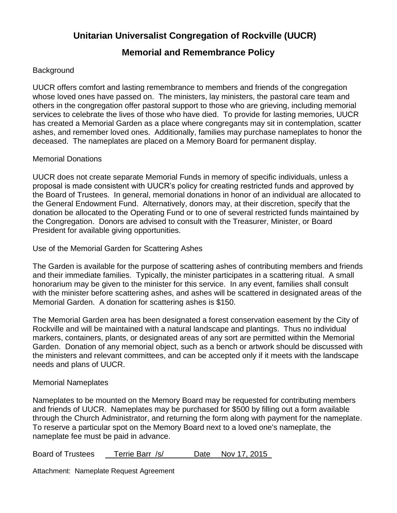# **Unitarian Universalist Congregation of Rockville (UUCR)**

## **Memorial and Remembrance Policy**

## **Background**

UUCR offers comfort and lasting remembrance to members and friends of the congregation whose loved ones have passed on. The ministers, lay ministers, the pastoral care team and others in the congregation offer pastoral support to those who are grieving, including memorial services to celebrate the lives of those who have died. To provide for lasting memories, UUCR has created a Memorial Garden as a place where congregants may sit in contemplation, scatter ashes, and remember loved ones. Additionally, families may purchase nameplates to honor the deceased. The nameplates are placed on a Memory Board for permanent display.

### Memorial Donations

UUCR does not create separate Memorial Funds in memory of specific individuals, unless a proposal is made consistent with UUCR's policy for creating restricted funds and approved by the Board of Trustees. In general, memorial donations in honor of an individual are allocated to the General Endowment Fund. Alternatively, donors may, at their discretion, specify that the donation be allocated to the Operating Fund or to one of several restricted funds maintained by the Congregation. Donors are advised to consult with the Treasurer, Minister, or Board President for available giving opportunities.

Use of the Memorial Garden for Scattering Ashes

The Garden is available for the purpose of scattering ashes of contributing members and friends and their immediate families. Typically, the minister participates in a scattering ritual. A small honorarium may be given to the minister for this service. In any event, families shall consult with the minister before scattering ashes, and ashes will be scattered in designated areas of the Memorial Garden. A donation for scattering ashes is \$150.

The Memorial Garden area has been designated a forest conservation easement by the City of Rockville and will be maintained with a natural landscape and plantings. Thus no individual markers, containers, plants, or designated areas of any sort are permitted within the Memorial Garden. Donation of any memorial object, such as a bench or artwork should be discussed with the ministers and relevant committees, and can be accepted only if it meets with the landscape needs and plans of UUCR.

### Memorial Nameplates

Nameplates to be mounted on the Memory Board may be requested for contributing members and friends of UUCR. Nameplates may be purchased for \$500 by filling out a form available through the Church Administrator, and returning the form along with payment for the nameplate. To reserve a particular spot on the Memory Board next to a loved one's nameplate, the nameplate fee must be paid in advance.

Board of Trustees Terrie Barr /s/ Date Nov 17, 2015

Attachment: Nameplate Request Agreement